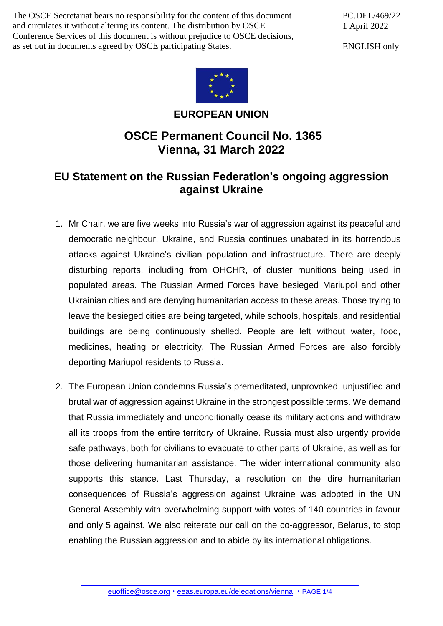The OSCE Secretariat bears no responsibility for the content of this document and circulates it without altering its content. The distribution by OSCE Conference Services of this document is without prejudice to OSCE decisions, as set out in documents agreed by OSCE participating States.

PC.DEL/469/22 1 April 2022

ENGLISH only



**EUROPEAN UNION**

## **OSCE Permanent Council No. 1365 Vienna, 31 March 2022**

## **EU Statement on the Russian Federation's ongoing aggression against Ukraine**

- 1. Mr Chair, we are five weeks into Russia's war of aggression against its peaceful and democratic neighbour, Ukraine, and Russia continues unabated in its horrendous attacks against Ukraine's civilian population and infrastructure. There are deeply disturbing reports, including from OHCHR, of cluster munitions being used in populated areas. The Russian Armed Forces have besieged Mariupol and other Ukrainian cities and are denying humanitarian access to these areas. Those trying to leave the besieged cities are being targeted, while schools, hospitals, and residential buildings are being continuously shelled. People are left without water, food, medicines, heating or electricity. The Russian Armed Forces are also forcibly deporting Mariupol residents to Russia.
- 2. The European Union condemns Russia's premeditated, unprovoked, unjustified and brutal war of aggression against Ukraine in the strongest possible terms. We demand that Russia immediately and unconditionally cease its military actions and withdraw all its troops from the entire territory of Ukraine. Russia must also urgently provide safe pathways, both for civilians to evacuate to other parts of Ukraine, as well as for those delivering humanitarian assistance. The wider international community also supports this stance. Last Thursday, a resolution on the dire humanitarian consequences of Russia's aggression against Ukraine was adopted in the UN General Assembly with overwhelming support with votes of 140 countries in favour and only 5 against. We also reiterate our call on the co-aggressor, Belarus, to stop enabling the Russian aggression and to abide by its international obligations.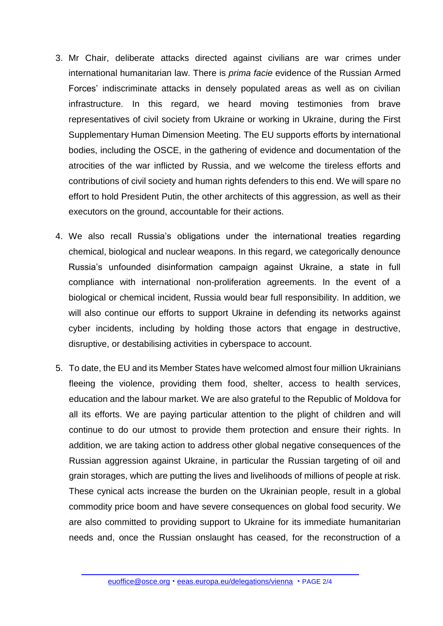- 3. Mr Chair, deliberate attacks directed against civilians are war crimes under international humanitarian law. There is *prima facie* evidence of the Russian Armed Forces' indiscriminate attacks in densely populated areas as well as on civilian infrastructure. In this regard, we heard moving testimonies from brave representatives of civil society from Ukraine or working in Ukraine, during the First Supplementary Human Dimension Meeting. The EU supports efforts by international bodies, including the OSCE, in the gathering of evidence and documentation of the atrocities of the war inflicted by Russia, and we welcome the tireless efforts and contributions of civil society and human rights defenders to this end. We will spare no effort to hold President Putin, the other architects of this aggression, as well as their executors on the ground, accountable for their actions.
- 4. We also recall Russia's obligations under the international treaties regarding chemical, biological and nuclear weapons. In this regard, we categorically denounce Russia's unfounded disinformation campaign against Ukraine, a state in full compliance with international non-proliferation agreements. In the event of a biological or chemical incident, Russia would bear full responsibility. In addition, we will also continue our efforts to support Ukraine in defending its networks against cyber incidents, including by holding those actors that engage in destructive, disruptive, or destabilising activities in cyberspace to account.
- 5. To date, the EU and its Member States have welcomed almost four million Ukrainians fleeing the violence, providing them food, shelter, access to health services, education and the labour market. We are also grateful to the Republic of Moldova for all its efforts. We are paying particular attention to the plight of children and will continue to do our utmost to provide them protection and ensure their rights. In addition, we are taking action to address other global negative consequences of the Russian aggression against Ukraine, in particular the Russian targeting of oil and grain storages, which are putting the lives and livelihoods of millions of people at risk. These cynical acts increase the burden on the Ukrainian people, result in a global commodity price boom and have severe consequences on global food security. We are also committed to providing support to Ukraine for its immediate humanitarian needs and, once the Russian onslaught has ceased, for the reconstruction of a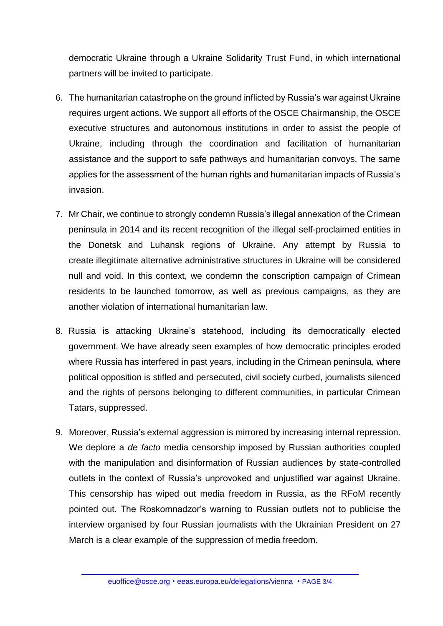democratic Ukraine through a Ukraine Solidarity Trust Fund, in which international partners will be invited to participate.

- 6. The humanitarian catastrophe on the ground inflicted by Russia's war against Ukraine requires urgent actions. We support all efforts of the OSCE Chairmanship, the OSCE executive structures and autonomous institutions in order to assist the people of Ukraine, including through the coordination and facilitation of humanitarian assistance and the support to safe pathways and humanitarian convoys. The same applies for the assessment of the human rights and humanitarian impacts of Russia's invasion.
- 7. Mr Chair, we continue to strongly condemn Russia's illegal annexation of the Crimean peninsula in 2014 and its recent recognition of the illegal self-proclaimed entities in the Donetsk and Luhansk regions of Ukraine. Any attempt by Russia to create illegitimate alternative administrative structures in Ukraine will be considered null and void. In this context, we condemn the conscription campaign of Crimean residents to be launched tomorrow, as well as previous campaigns, as they are another violation of international humanitarian law.
- 8. Russia is attacking Ukraine's statehood, including its democratically elected government. We have already seen examples of how democratic principles eroded where Russia has interfered in past years, including in the Crimean peninsula, where political opposition is stifled and persecuted, civil society curbed, journalists silenced and the rights of persons belonging to different communities, in particular Crimean Tatars, suppressed.
- 9. Moreover, Russia's external aggression is mirrored by increasing internal repression. We deplore a *de facto* media censorship imposed by Russian authorities coupled with the manipulation and disinformation of Russian audiences by state-controlled outlets in the context of Russia's unprovoked and unjustified war against Ukraine. This censorship has wiped out media freedom in Russia, as the RFoM recently pointed out. The Roskomnadzor's warning to Russian outlets not to publicise the interview organised by four Russian journalists with the Ukrainian President on 27 March is a clear example of the suppression of media freedom.